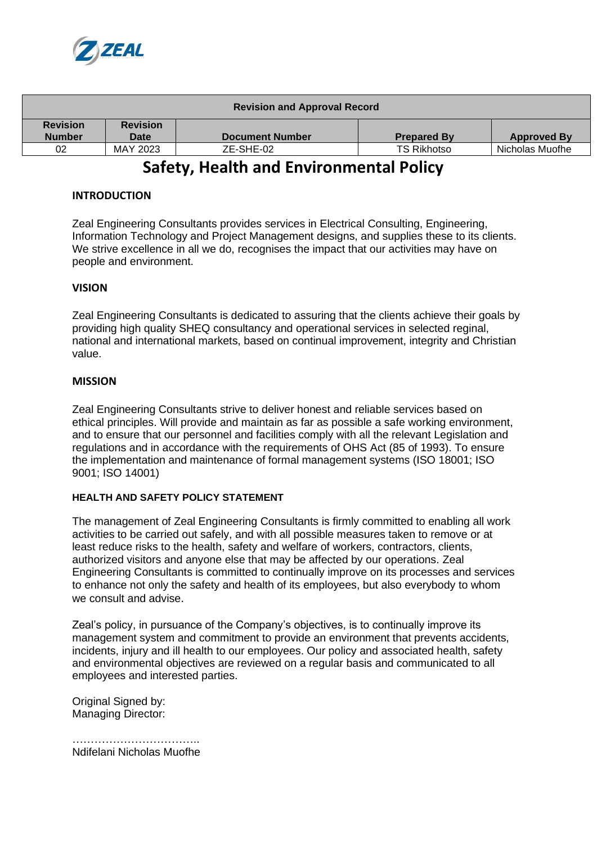

| <b>Revision and Approval Record</b> |                         |                        |                    |                    |
|-------------------------------------|-------------------------|------------------------|--------------------|--------------------|
| <b>Revision</b><br><b>Number</b>    | <b>Revision</b><br>Date | <b>Document Number</b> | <b>Prepared By</b> | <b>Approved By</b> |
| 02                                  | MAY 2023                | ZE-SHE-02              | <b>TS Rikhotso</b> | Nicholas Muofhe    |

# **Safety, Health and Environmental Policy**

## **INTRODUCTION**

Zeal Engineering Consultants provides services in Electrical Consulting, Engineering, Information Technology and Project Management designs, and supplies these to its clients. We strive excellence in all we do, recognises the impact that our activities may have on people and environment.

## **VISION**

Zeal Engineering Consultants is dedicated to assuring that the clients achieve their goals by providing high quality SHEQ consultancy and operational services in selected reginal, national and international markets, based on continual improvement, integrity and Christian value.

### **MISSION**

Zeal Engineering Consultants strive to deliver honest and reliable services based on ethical principles. Will provide and maintain as far as possible a safe working environment, and to ensure that our personnel and facilities comply with all the relevant Legislation and regulations and in accordance with the requirements of OHS Act (85 of 1993). To ensure the implementation and maintenance of formal management systems (ISO 18001; ISO 9001; ISO 14001)

### **HEALTH AND SAFETY POLICY STATEMENT**

The management of Zeal Engineering Consultants is firmly committed to enabling all work activities to be carried out safely, and with all possible measures taken to remove or at least reduce risks to the health, safety and welfare of workers, contractors, clients, authorized visitors and anyone else that may be affected by our operations. Zeal Engineering Consultants is committed to continually improve on its processes and services to enhance not only the safety and health of its employees, but also everybody to whom we consult and advise.

Zeal's policy, in pursuance of the Company's objectives, is to continually improve its management system and commitment to provide an environment that prevents accidents, incidents, injury and ill health to our employees. Our policy and associated health, safety and environmental objectives are reviewed on a regular basis and communicated to all employees and interested parties.

Original Signed by: Managing Director:

…………………………….. Ndifelani Nicholas Muofhe